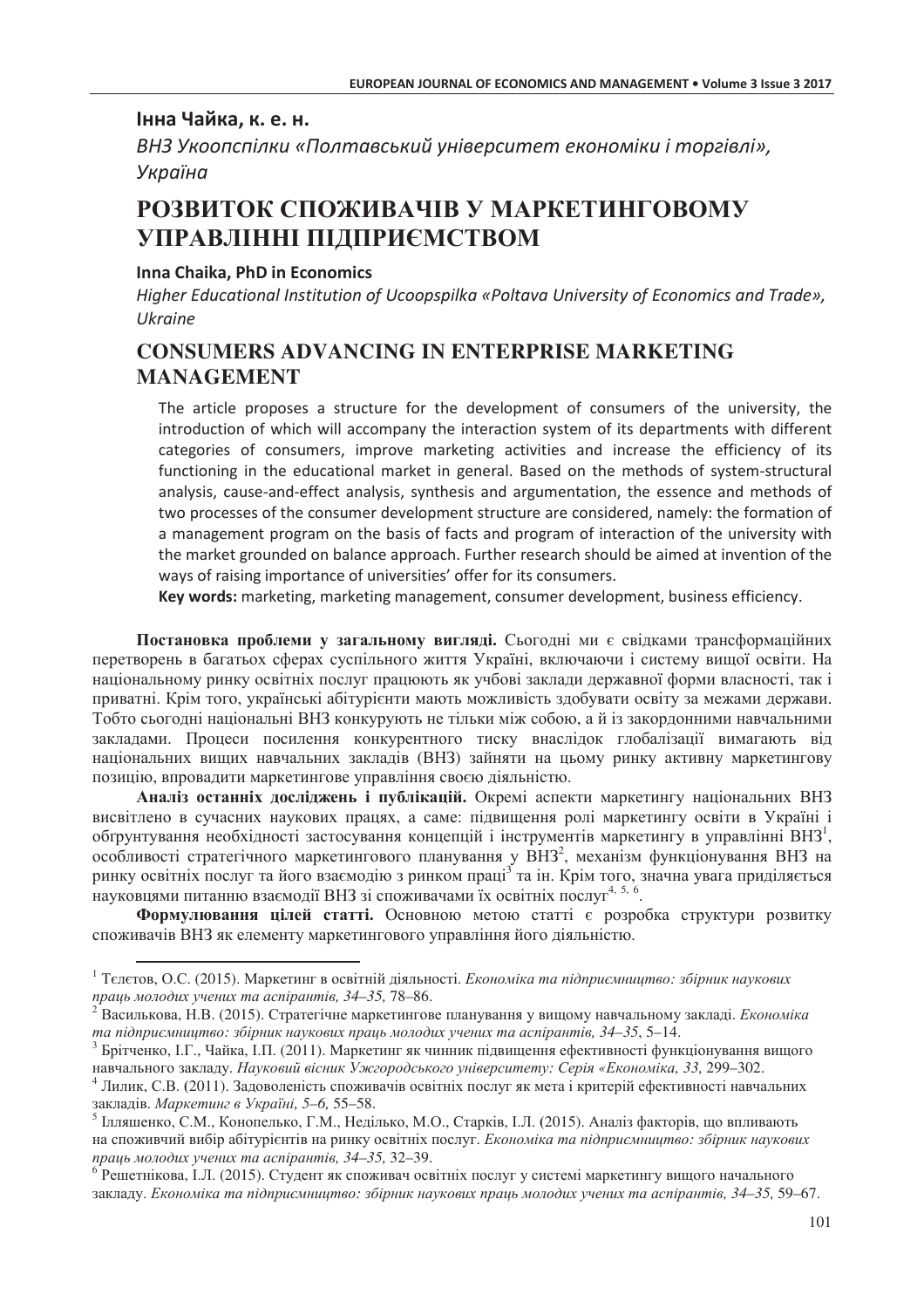### Інна Чайка, к. е. н.

ВНЗ Укоопспілки «Полтавський університет економіки і торгівлі», Україна

# РОЗВИТОК СПОЖИВАЧІВ У МАРКЕТИНГОВОМУ УПРАВЛІННІ ПІДПРИЄМСТВОМ

### Inna Chaika. PhD in Economics

Higher Educational Institution of Ucoopspilka «Poltava University of Economics and Trade», Ukraine

## **CONSUMERS ADVANCING IN ENTERPRISE MARKETING MANAGEMENT**

The article proposes a structure for the development of consumers of the university, the introduction of which will accompany the interaction system of its departments with different categories of consumers, improve marketing activities and increase the efficiency of its functioning in the educational market in general. Based on the methods of system-structural analysis, cause-and-effect analysis, synthesis and argumentation, the essence and methods of two processes of the consumer development structure are considered, namely: the formation of a management program on the basis of facts and program of interaction of the university with the market grounded on balance approach. Further research should be aimed at invention of the ways of raising importance of universities' offer for its consumers.

Key words: marketing, marketing management, consumer development, business efficiency.

Постановка проблеми у загальному вигляді. Сьогодні ми є свідками трансформаційних перетворень в багатьох сферах суспільного життя Україні, включаючи і систему вищої освіти. На національному ринку освітніх послуг працюють як учбові заклади державної форми власності, так і приватні. Крім того, українські абітурієнти мають можливість здобувати освіту за межами держави. Тобто сьогодні національні ВНЗ конкурують не тільки між собою, а й із закордонними навчальними закладами. Процеси посилення конкурентного тиску внаслідок глобалізації вимагають від національних виших навчальних заклалів (ВНЗ) зайняти на цьому ринку активну маркетингову позицію, впровадити маркетингове управління своєю діяльністю.

Аналіз останніх досліджень і публікацій. Окремі аспекти маркетингу національних ВНЗ висвітлено в сучасних наукових працях, а саме: підвищення ролі маркетингу освіти в Україні і обтрунтування необхідності застосування концепцій і інструментів маркетингу в управлінні ВНЗ<sup>1</sup>, особливості стратегічного маркетингового планування у ВНЗ<sup>2</sup>, механізм функціонування ВНЗ на ринку освітніх послуг та його взаємодію з ринком праці<sup>з</sup> та ін. Крім того, значна увага приділяється науковцями питанню взаємодії ВНЗ зі споживачами їх освітніх послуг<sup>4, 5, 6</sup>.

Формулювання цілей статті. Основною метою статті є розробка структури розвитку споживачів ВНЗ як елементу маркетингового управління його діяльністю.

<sup>&</sup>lt;sup>1</sup> Телетов, О.С. (2015). Маркетинг в освітній діяльності. *Економіка та підприємништво: збірник наукових* праць молодих учених та аспірантів, 34-35, 78-86.

 $^2$  Василькова, Н.В. (2015). Стратегічне маркетингове планування у вищому навчальному закладі. *Економіка* та підприємництво: збірник наукових праць молодих учених та аспірантів, 34–35, 5–14.

<sup>&</sup>lt;sup>3</sup> Брітченко, І.Г., Чайка, І.П. (2011). Маркетинг як чинник підвищення ефективності функціонування вищого навчального закладу. Науковий вісник Ужгородського університету: Серія «Економіка, 33, 299-302.

<sup>&</sup>lt;sup>4</sup> Лилик, С.В. (2011). Задоволеність споживачів освітніх послуг як мета і критерій ефективності навчальних закладів. Маркетинг в Україні, 5-6, 55-58.

<sup>&</sup>lt;sup>5</sup> Ілляшенко, С.М., Конопелько, Г.М., Неділько, М.О., Старків, І.Л. (2015). Аналіз факторів, що впливають на споживчий вибір абітурієнтів на ринку освітніх послуг. Економіка та підприємництво: збірник наукових праць молодих учених та аспірантів, 34-35, 32-39.

<sup>&</sup>lt;sup>6</sup> Решетнікова, І.Л. (2015). Студент як споживач освітніх послуг у системі маркетингу вищого начального закладу. Економіка та підприємництво: збірник наукових праць молодих учених та аспірантів, 34-35, 59-67.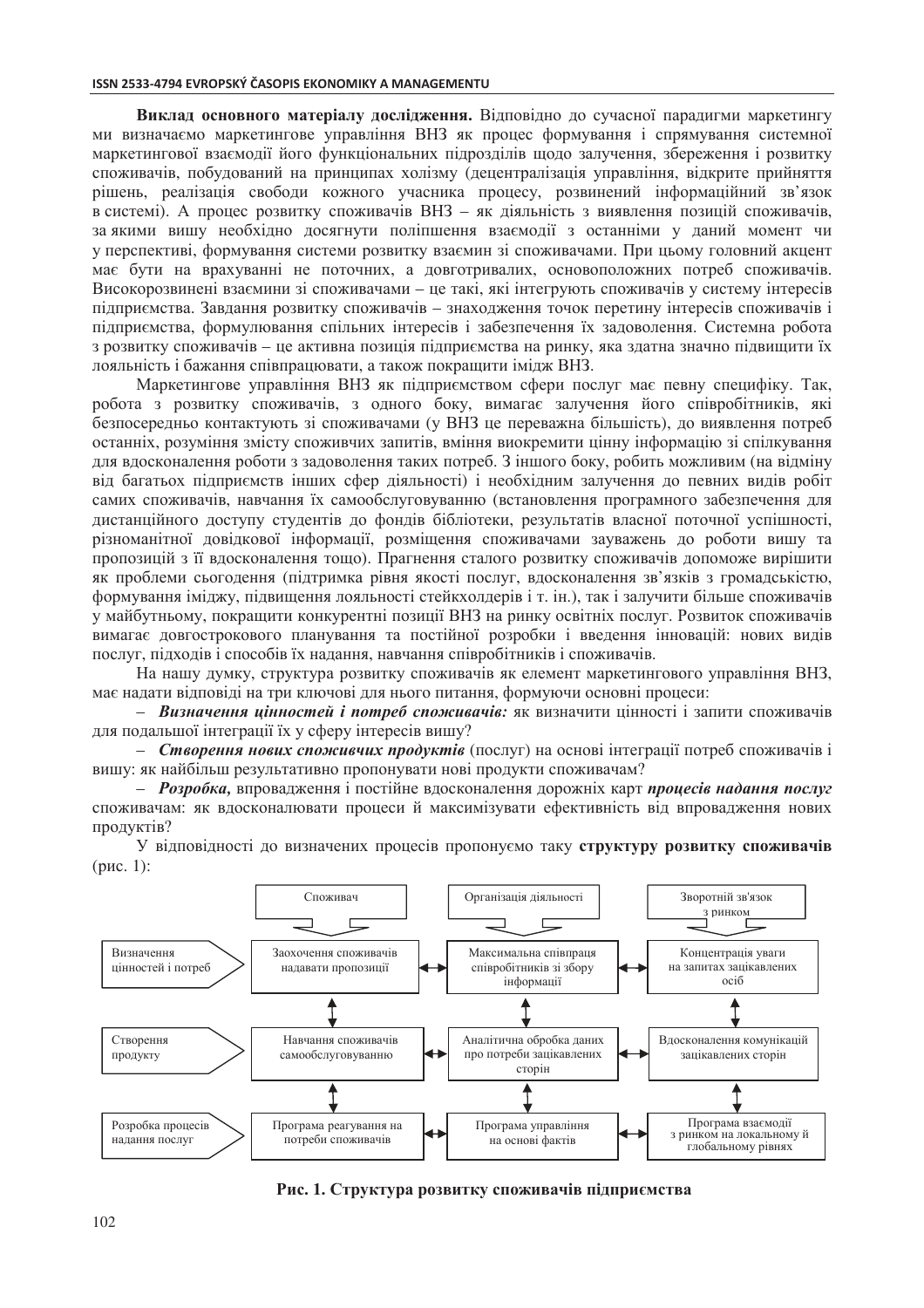Виклад основного матеріалу дослідження. Відповідно до сучасної парадигми маркетингу ми визначаемо маркетингове управління ВНЗ як процес формування і спрямування системної маркетингової взаємодії його функціональних підрозділів щодо залучення, збереження і розвитку споживачів, побудований на принципах холізму (децентралізація управління, відкрите прийняття рішень, реалізація свободи кожного учасника процесу, розвинений інформаційний зв'язок в системі). А процес розвитку споживачів ВНЗ - як діяльність з виявлення позицій споживачів, за якими вишу необхідно досягнути поліпшення взаємодії з останніми у даний момент чи у перспективі, формування системи розвитку взаємин зі споживачами. При цьому головний акцент має бути на врахуванні не поточних, а довготривалих, основоположних потреб споживачів. Високорозвинені взаємини зі споживачами - це такі, які інтегрують споживачів у систему інтересів підприємства. Завдання розвитку споживачів - знаходження точок перетину інтересів споживачів і підприємства, формулювання спільних інтересів і забезпечення їх задоволення. Системна робота з розвитку споживачів - це активна позиція підприємства на ринку, яка здатна значно підвищити їх лояльність і бажання співпрацювати, а також покращити імідж ВНЗ.

Маркетингове управління ВНЗ як підприємством сфери послуг має певну специфіку. Так, робота з розвитку споживачів, з одного боку, вимагає залучення його співробітників, які безпосередньо контактують зі споживачами (у ВНЗ це переважна більшість), до виявлення потреб останніх, розуміння змісту споживчих запитів, вміння виокремити цінну інформацію зі спілкування для вдосконалення роботи з задоволення таких потреб. З іншого боку, робить можливим (на відміну від багатьох підприємств інших сфер діяльності) і необхідним залучення до певних видів робіт самих споживачів, навчання їх самообслуговуванню (встановлення програмного забезпечення для дистанційного доступу студентів до фондів бібліотеки, результатів власної поточної успішності, різноманітної довідкової інформації, розміщення споживачами зауважень до роботи вишу та пропозицій з її вдосконалення тощо). Прагнення сталого розвитку споживачів допоможе вирішити як проблеми сьогодення (підтримка рівня якості послуг, вдосконалення зв'язків з громадськістю, формування іміджу, підвищення лояльності стейкхолдерів і т. ін.), так і залучити більше споживачів у майбутньому, покращити конкурентні позиції ВНЗ на ринку освітніх послуг. Розвиток споживачів вимагає довгострокового планування та постійної розробки і введення інновацій: нових видів послуг, підходів і способів їх надання, навчання співробітників і споживачів.

На нашу думку, структура розвитку споживачів як елемент маркетингового управління ВНЗ, має надати відповіді на три ключові для нього питання, формуючи основні процеси:

- Визначення цінностей і потреб споживачів: як визначити цінності і запити споживачів для подальшої інтеграції їх у сферу інтересів вишу?

- Створення нових споживчих продуктів (послуг) на основі інтеграції потреб споживачів і вишу: як найбільш результативно пропонувати нові продукти споживачам?

- Розробка, впровадження і постійне вдосконалення дорожніх карт процесів надання послуг споживачам: як вдосконалювати процеси й максимізувати ефективність від впровадження нових пролуктів?



У вілповілності до визначених процесів пропонуємо таку структуру розвитку споживачів  $(pnc. 1)$ :

Рис. 1. Структура розвитку споживачів підприємства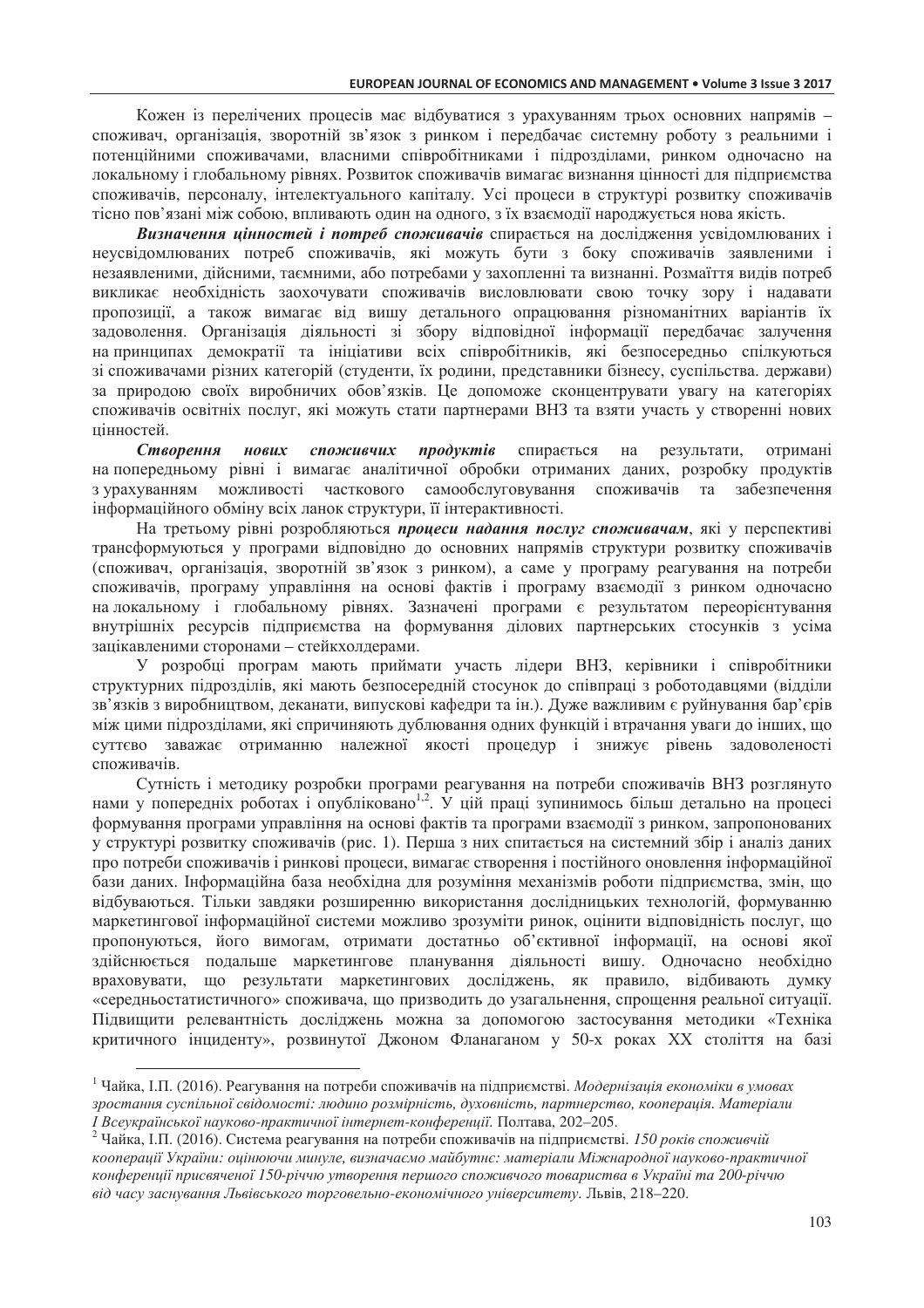Кожен із перелічених процесів має відбуватися з урахуванням трьох основних напрямів споживач, організація, зворотній зв'язок з ринком і передбачає системну роботу з реальними і потенційними споживачами, власними співробітниками і підрозділами, ринком одночасно на локальному і глобальному рівнях. Розвиток споживачів вимагає визнання цінності для підприємства споживачів, персоналу, інтелектуального капіталу. Усі процеси в структурі розвитку споживачів тісно пов'язані між собою, впливають олин на олного, з їх взаємолії наролжується нова якість.

Визначення цінностей і потреб споживачів спирається на дослідження усвідомлюваних і неусвідомлюваних потреб споживачів, які можуть бути з боку споживачів заявленими і незаявленими, дійсними, таємними, або потребами у захопленні та визнанні. Розмаїття видів потреб викликає необхідність заохочувати споживачів висловлювати свою точку зору і надавати пропозиції, а також вимагає від вишу детального опрацювання різноманітних варіантів їх задоволення. Організація діяльності зі збору відповідної інформації передбачає залучення на принципах демократії та ініціативи всіх співробітників, які безпосередньо спілкуються зі споживачами різних категорій (студенти, їх родини, представники бізнесу, суспільства. держави) за природою своїх виробничих обов'язків. Це допоможе сконцентрувати увагу на категоріях споживачів освітніх послуг, які можуть стати партнерами ВНЗ та взяти участь у створенні нових цінностей.

Створення нових споживчих продуктів спирається на результати, отримані на попередньому рівні і вимагає аналітичної обробки отриманих даних, розробку продуктів з урахуванням можливості часткового самообслуговування споживачів та забезпечення інформаційного обміну всіх ланок структури, її інтерактивності.

На третьому рівні розробляються процеси надання послуг споживачам, які у перспективі трансформуються у програми відповідно до основних напрямів структури розвитку споживачів (споживач, організація, зворотній зв'язок з ринком), а саме у програму реагування на потреби споживачів, програму управління на основі фактів і програму взаємодії з ринком одночасно на локальному і глобальному рівнях. Зазначені програми є результатом переорієнтування внутрішніх ресурсів підприємства на формування ділових партнерських стосунків з усіма зацікавленими сторонами - стейкхолдерами.

У розробці програм мають приймати участь лідери ВНЗ, керівники і співробітники структурних підрозділів, які мають безпосередній стосунок до співпраці з роботодавцями (відділи зв'язків з виробництвом, деканати, випускові кафедри та ін.). Дуже важливим є руйнування бар'єрів між цими підрозділами, які спричиняють дублювання одних функцій і втрачання уваги до інших, що суттєво заважає отриманню належної якості процедур і знижує рівень задоволеності споживачів.

Сутність і методику розробки програми реагування на потреби споживачів ВНЗ розглянуто нами у попередніх роботах і опубліковано<sup>1,2</sup>. У цій праці зупинимось більш детально на процесі формування програми управління на основі фактів та програми взаємодії з ринком, запропонованих у структурі розвитку споживачів (рис. 1). Перша з них спитається на системний збір і аналіз даних про потреби споживачів і ринкові процеси, вимагає створення і постійного оновлення інформаційної бази даних. Інформаційна база необхідна для розуміння механізмів роботи підприємства, змін, що відбуваються. Тільки завдяки розширенню використання дослідницьких технологій, формуванню маркетингової інформаційної системи можливо зрозуміти ринок, оцінити відповідність послуг, що пропонуються, його вимогам, отримати достатньо об'єктивної інформації, на основі якої здійснюється подальше маркетингове планування діяльності вишу. Одночасно необхідно враховувати, що результати маркетингових досліджень, як правило, відбивають думку «середньостатистичного» споживача, що призводить до узагальнення, спрощення реальної ситуації. Підвищити релевантність досліджень можна за допомогою застосування методики «Техніка критичного інциденту», розвинутої Джоном Фланаганом у 50-х роках XX століття на базі

<sup>&</sup>lt;sup>1</sup> Чайка, І.П. (2016). Реагування на потреби споживачів на підприємстві. Модернізація економіки в умовах зростання суспільної свідомості: людино розмірність, духовність, партнерство, кооперація. Матеріали I Всеукраїнської науково-практичної інтернет-конференції. Полтава, 202-205.

<sup>&</sup>lt;sup>2</sup> Чайка, І.П. (2016). Система реагування на потреби споживачів на підприємстві. 150 років споживчій кооперації України: оцінюючи минуле, визначаємо майбутнє: матеріали Міжнародної науково-практичної конференції присвяченої 150-річчю утворення першого споживчого товариства в Україні та 200-річчю від часу заснування Львівського торговельно-економічного університету. Львів, 218-220.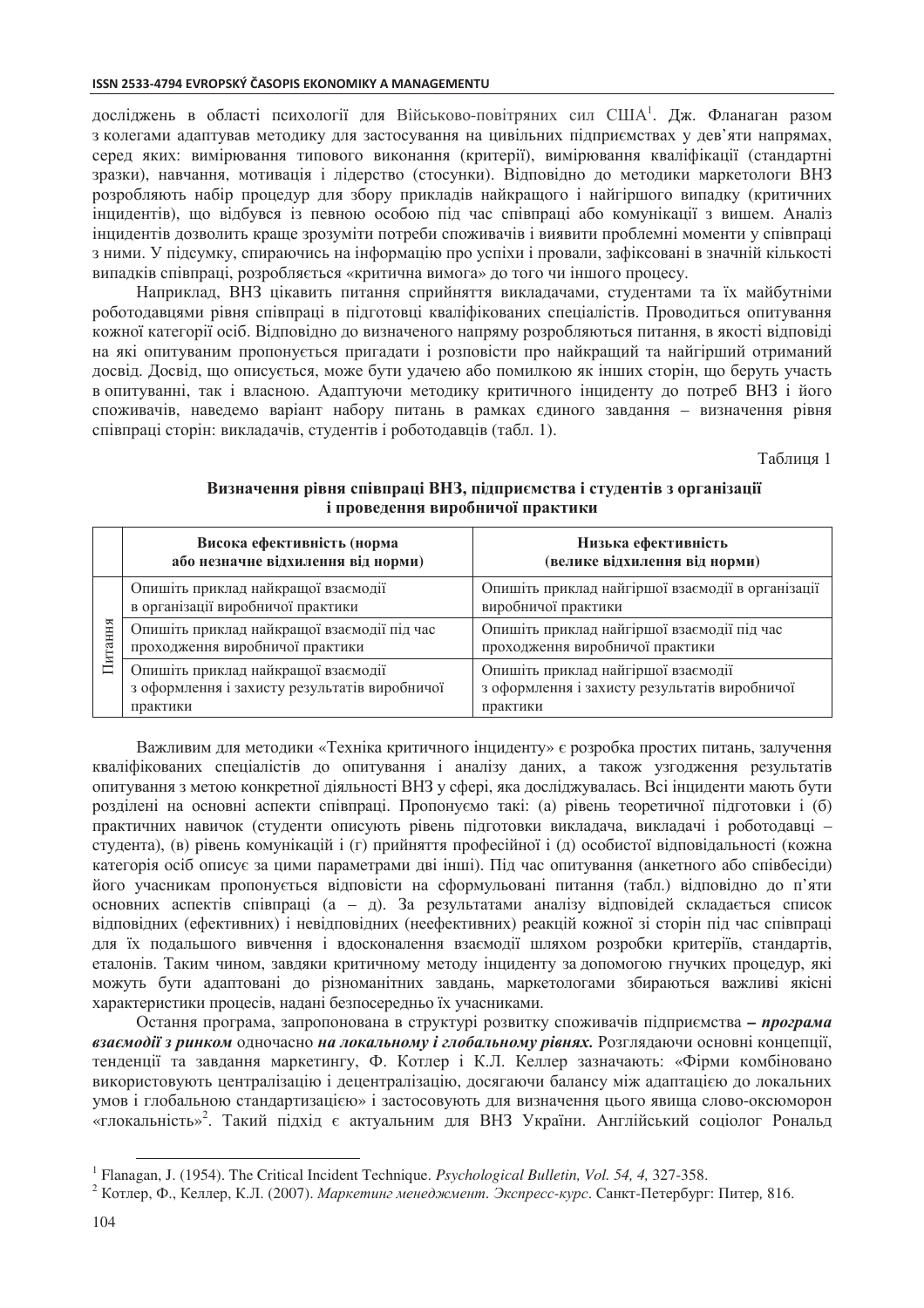досліджень в області психології для Військово-повітряних сил США<sup>1</sup>. Дж. Фланаган разом з колегами адаптував методику для застосування на цивільних підприємствах у дев'яти напрямах, серед яких: вимірювання типового виконання (критерії), вимірювання кваліфікації (стандартні зразки), навчання, мотивація і лідерство (стосунки). Відповідно до методики маркетологи ВНЗ розробляють набір процедур для збору прикладів найкращого і найгіршого випадку (критичних інцилентів), що вілбувся із певною особою піл час співпраці або комунікації з вищем. Аналіз інцидентів дозволить краще зрозуміти потреби споживачів і виявити проблемні моменти у співпраці з ними. У підсумку, спираючись на інформацію про успіхи і провали, зафіксовані в значній кількості випадків співпраці, розробляється «критична вимога» до того чи іншого процесу.

Наприклад, ВНЗ цікавить питання сприйняття викладачами, студентами та їх майбутніми роботодавцями рівня співпраці в підготовці кваліфікованих спеціалістів. Проводиться опитування кожної категорії осіб. Відповідно до визначеного напряму розробляються питання, в якості відповіді на які опитуваним пропонується пригадати і розповісти про найкращий та найгірший отриманий досвід. Досвід, що описується, може бути удачею або помилкою як інших сторін, що беруть участь в опитуванні, так і власною. Адаптуючи методику критичного інциденту до потреб ВНЗ і його споживачів, наведемо варіант набору питань в рамках єдиного завдання - визначення рівня співпраці сторін: викладачів, студентів і роботодавців (табл. 1).

Таблиня 1

|       | Висока ефективність (норма<br>або незначне відхилення від норми)                                 | Низька ефективність<br>(велике відхилення від норми)                                             |
|-------|--------------------------------------------------------------------------------------------------|--------------------------------------------------------------------------------------------------|
| гання | Опишіть приклад найкращої взаємодії<br>в організації виробничої практики                         | Опишіть приклад найгіршої взаємодії в організації<br>виробничої практики                         |
|       | Опишіть приклад найкращої взаємодії під час<br>проходження виробничої практики                   | Опишіть приклад найгіршої взаємодії під час<br>проходження виробничої практики                   |
|       | Опишіть приклад найкращої взаємодії<br>з оформлення і захисту результатів виробничої<br>практики | Опишіть приклад найгіршої взаємодії<br>з оформлення і захисту результатів виробничої<br>практики |

### Визначення рівня співпраці ВНЗ, підприємства і студентів з організації і проведення виробничої практики

Важливим для методики «Техніка критичного інциденту» є розробка простих питань, залучення кваліфікованих спеціалістів до опитування і аналізу даних, а також узгодження результатів опитування з метою конкретної діяльності ВНЗ у сфері, яка досліджувалась. Всі інциденти мають бути розділені на основні аспекти співпраці. Пропонуємо такі: (а) рівень теоретичної підготовки і (б) практичних навичок (студенти описують рівень підготовки викладача, викладачі і роботодавці студента), (в) рівень комунікацій і (г) прийняття професійної і (д) особистої відповідальності (кожна категорія осіб описує за цими параметрами дві інші). Під час опитування (анкетного або співбесіди) його учасникам пропонується відповісти на сформульовані питання (табл.) відповідно до п'яти основних аспектів співпраці (а - д). За результатами аналізу відповідей складається список відповідних (ефективних) і невідповідних (неефективних) реакцій кожної зі сторін під час співпраці для їх подальшого вивчення і вдосконалення взаємодії шляхом розробки критеріїв, стандартів, еталонів. Таким чином, завдяки критичному методу інциденту за допомогою гнучких процедур, які можуть бути адаптовані до різноманітних завдань, маркетологами збираються важливі якісні характеристики процесів, надані безпосередньо їх учасниками.

Остання програма, запропонована в структурі розвитку споживачів підприємства - програма взаємодії з ринком одночасно на локальному і глобальному рівнях. Розглядаючи основні концепції, тенденції та завдання маркетингу, Ф. Котлер і К.Л. Келлер зазначають: «Фірми комбіновано використовують централізацію і децентралізацію, досягаючи балансу між адаптацією до локальних умов і глобальною стандартизацією» і застосовують для визначення цього явища слово-оксюморон «глокальність»<sup>2</sup>. Такий підхід є актуальним для ВНЗ України. Англійський соціолог Рональд

<sup>&</sup>lt;sup>1</sup> Flanagan, J. (1954). The Critical Incident Technique. *Psychological Bulletin, Vol.* 54, 4, 327-358.

<sup>&</sup>lt;sup>2</sup> Котлер, Ф., Келлер, К.Л. (2007). Маркетинг менеджмент. Экспресс-курс. Санкт-Петербург: Питер, 816.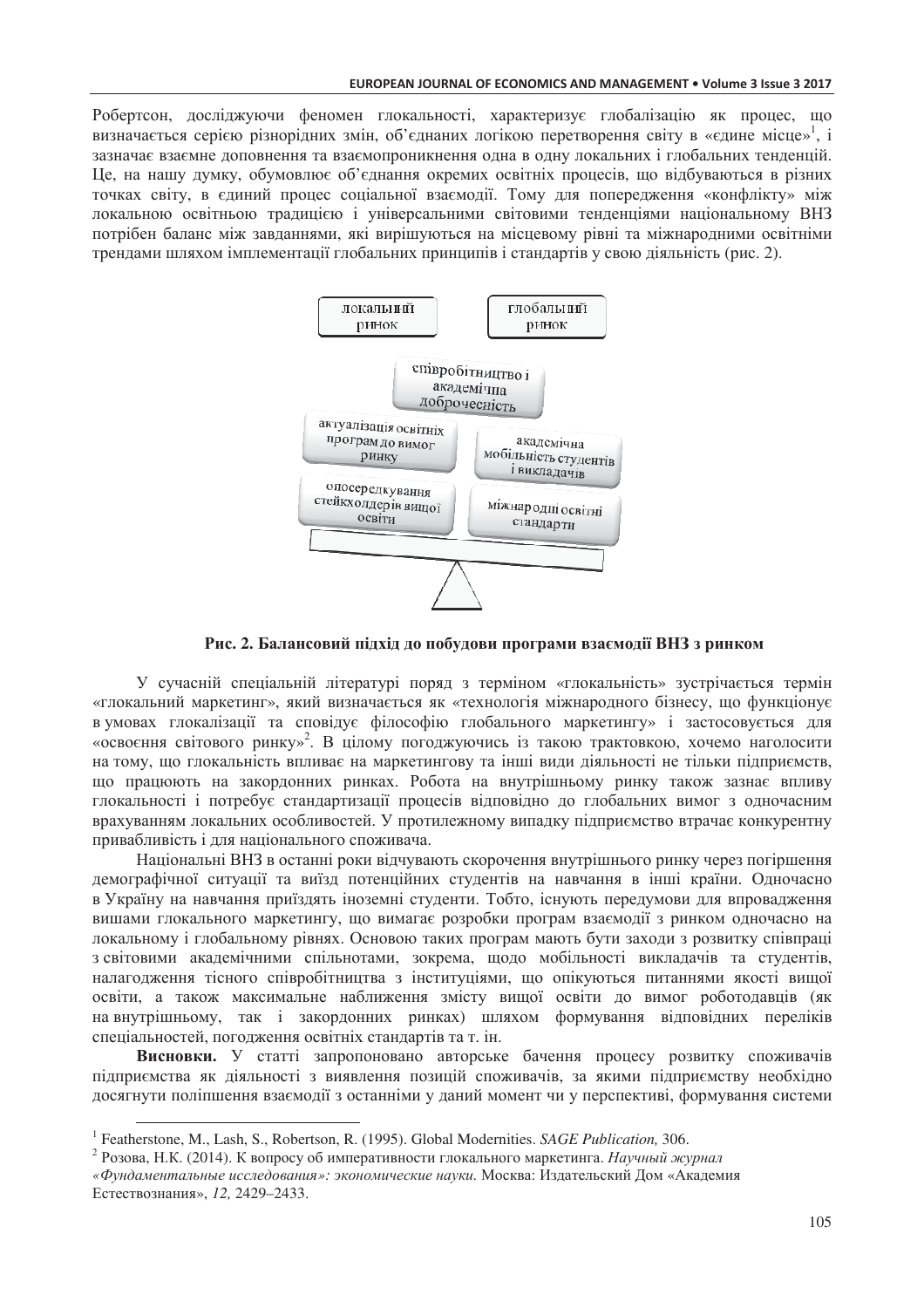Робертсон, досліджуючи феномен глокальності, характеризує глобалізацію як процес, що визначається серією різнорідних змін, об'єднаних логікою перетворення світу в «єдине місце», і зазначає взаємне доповнення та взаємопроникнення одна в одну локальних і глобальних тенденцій. Це, на нашу думку, обумовлює об'єднання окремих освітніх процесів, що відбуваються в різних точках світу, в єдиний процес соціальної взаємодії. Тому для попередження «конфлікту» між локальною освітньою тралицією і універсальними світовими тенленціями національному ВНЗ потрібен баланс між завланнями, які вирішуються на місцевому рівні та міжнародними освітніми трендами шляхом імплементації глобальних принципів і стандартів у свою діяльність (рис. 2).



Рис. 2. Балансовий підхід до побудови програми взаємодії ВНЗ з ринком

У сучасній спеціальній літературі поряд з терміном «глокальність» зустрічається термін «глокальний маркетинг», який визначається як «технологія міжнародного бізнесу, що функціонує в умовах глокалізації та сповідує філософію глобального маркетингу» і застосовується для «освоєння світового ринку»<sup>2</sup>. В цілому погоджуючись із такою трактовкою, хочемо наголосити на тому, що глокальність впливає на маркетингову та інші види діяльності не тільки підприємств, що працюють на закордонних ринках. Робота на внутрішньому ринку також зазнає впливу глокальності і потребує стандартизації процесів відповідно до глобальних вимог з одночасним врахуванням локальних особливостей. У протилежному випадку підприємство втрачає конкурентну привабливість і для національного споживача.

Національні ВНЗ в останні роки відчувають скорочення внутрішнього ринку через погіршення демографічної ситуації та виїзд потенційних студентів на навчання в інші країни. Одночасно в Україну на навчання приїздять іноземні студенти. Тобто, існують передумови для впровадження вишами глокального маркетингу, що вимагає розробки програм взаємодії з ринком одночасно на локальному і глобальному рівнях. Основою таких програм мають бути заходи з розвитку співпраці з світовими академічними спільнотами, зокрема, щодо мобільності викладачів та студентів, налагодження тісного співробітництва з інституціями, що опікуються питаннями якості вищої освіти, а також максимальне наближення змісту вищої освіти до вимог роботодавців (як на внутрішньому, так і закордонних ринках) шляхом формування відповідних переліків спеціальностей, погодження освітніх стандартів та т. ін.

Висновки. У статті запропоновано авторське бачення процесу розвитку споживачів підприємства як діяльності з виявлення позицій споживачів, за якими підприємству необхідно досягнути поліпшення взаємодії з останніми у даний момент чи у перспективі, формування системи

<sup>&</sup>lt;sup>1</sup> Featherstone, M., Lash, S., Robertson, R. (1995). Global Modernities. SAGE Publication, 306.

<sup>&</sup>lt;sup>2</sup> Розова, Н.К. (2014). К вопросу об императивности глокального маркетинга. Научный журнал «Фундаментальные исследования»: экономические науки. Москва: Издательский Дом «Академия Естествознания», 12, 2429-2433.